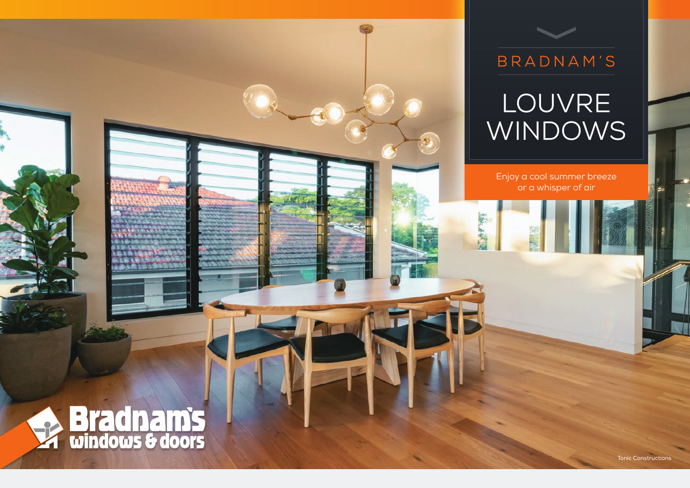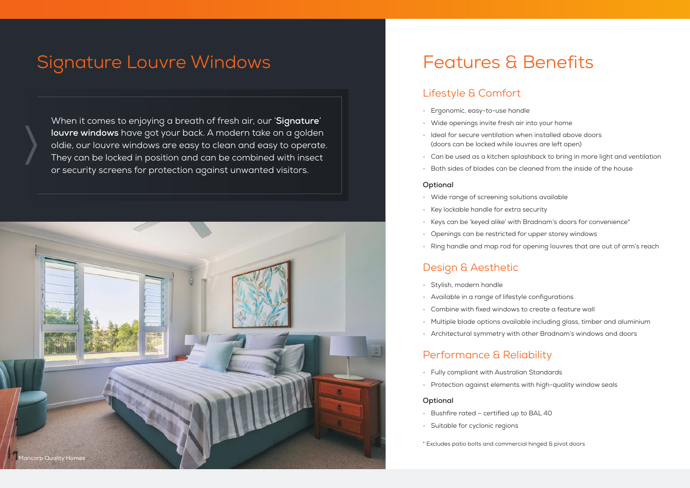# Signature Louvre Windows

When it comes to enjoying a breath of fresh air, our '**Signature**' **louvre windows** have got your back. A modern take on a golden oldie, our louvre windows are easy to clean and easy to operate. They can be locked in position and can be combined with insect or security screens for protection against unwanted visitors.



# Features & Benefits

### Lifestyle & Comfort

- Ergonomic, easy-to-use handle
- Wide openings invite fresh air into your home
- Ideal for secure ventilation when installed above doors (doors can be locked while louvres are left open)
- Can be used as a kitchen splashback to bring in more light and ventilation
- Both sides of blades can be cleaned from the inside of the house

#### **Optional**

- Wide range of screening solutions available
- Key lockable handle for extra security
- Keys can be 'keyed alike' with Bradnam's doors for convenience\*
- Openings can be restricted for upper storey windows
- Ring handle and map rod for opening louvres that are out of arm's reach

## Design & Aesthetic

- Stylish, modern handle
- Available in a range of lifestyle configurations
- Combine with fixed windows to create a feature wall
- Multiple blade options available including glass, timber and aluminium
- Architectural symmetry with other Bradnam's windows and doors

### Performance & Reliability

- Fully compliant with Australian Standards
- Protection against elements with high-quality window seals

#### **Optional**

- Bushfire rated certified up to BAL 40
- Suitable for cyclonic regions
- \* Excludes patio bolts and commercial hinged & pivot doors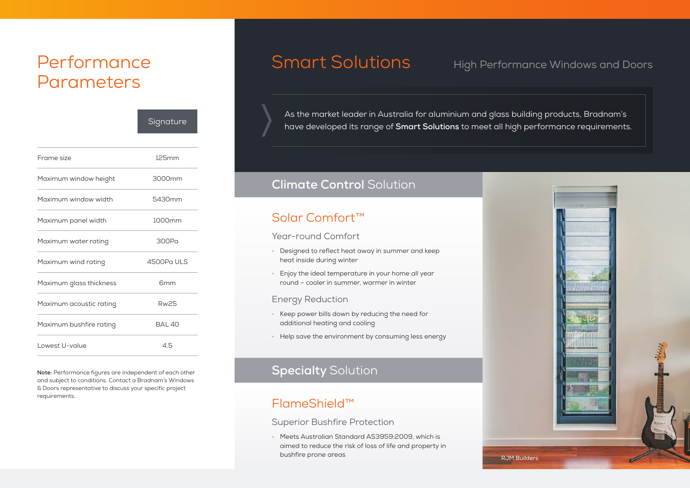# Performance Parameters

|                         | Signature     |
|-------------------------|---------------|
|                         |               |
| Frame size              | 125mm         |
| Maximum window height   | 3000mm        |
| Maximum window width    | 5430mm        |
| Maximum panel width     | 1000mm        |
| Maximum water rating    | 300Pa         |
| Maximum wind rating     | 4500Pa ULS    |
| Maximum glass thickness | 6mm           |
| Maximum acoustic rating | <b>Rw25</b>   |
| Maximum bushfire rating | <b>BAI 40</b> |
| Lowest U-value          | 45            |
|                         |               |

**Note:** Performance figures are independent of each other and subject to conditions. Contact a Bradnam's Windows & Doors representative to discuss your specific project requirements.

# Smart Solutions High Performance Windows and Doors

As the market leader in Australia for aluminium and glass building products, Bradnam's have developed its range of **Smart Solutions** to meet all high performance requirements.

## **Climate Control** Solution

# Solar Comfort™

#### Year-round Comfort

- Designed to reflect heat away in summer and keep heat inside during winter
- Enjoy the ideal temperature in your home all year round – cooler in summer, warmer in winter

#### Energy Reduction

- Keep power bills down by reducing the need for additional heating and cooling
- Help save the environment by consuming less energy

# **Specialty** Solution

## FlameShield™

Superior Bushfire Protection

• Meets Australian Standard AS3959:2009, which is aimed to reduce the risk of loss of life and property in bushfire prone areas